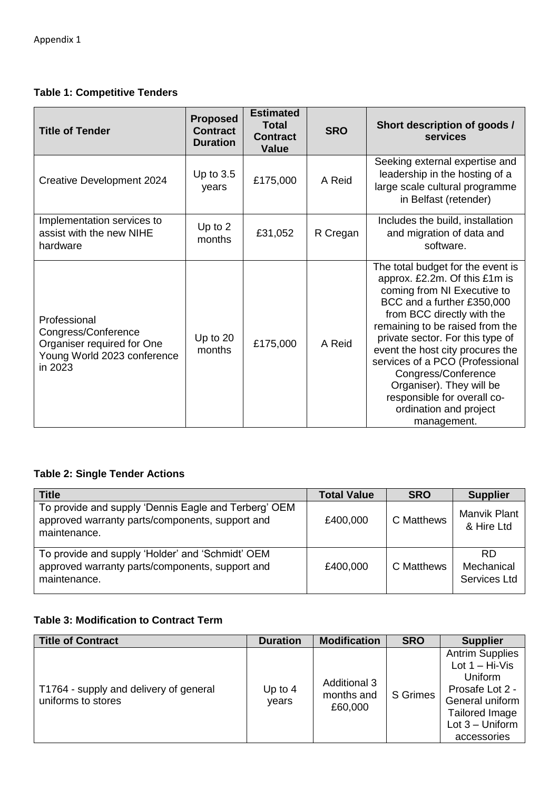## **Table 1: Competitive Tenders**

| <b>Title of Tender</b>                                                                                      | <b>Proposed</b><br><b>Contract</b><br><b>Duration</b> | <b>Estimated</b><br><b>Total</b><br><b>Contract</b><br><b>Value</b> | <b>SRO</b> | Short description of goods /<br>services                                                                                                                                                                                                                                                                                                                                                                                               |
|-------------------------------------------------------------------------------------------------------------|-------------------------------------------------------|---------------------------------------------------------------------|------------|----------------------------------------------------------------------------------------------------------------------------------------------------------------------------------------------------------------------------------------------------------------------------------------------------------------------------------------------------------------------------------------------------------------------------------------|
| Creative Development 2024                                                                                   | Up to $3.5$<br>years                                  | £175,000                                                            | A Reid     | Seeking external expertise and<br>leadership in the hosting of a<br>large scale cultural programme<br>in Belfast (retender)                                                                                                                                                                                                                                                                                                            |
| Implementation services to<br>assist with the new NIHE<br>hardware                                          | Up to $2$<br>months                                   | £31,052                                                             | R Cregan   | Includes the build, installation<br>and migration of data and<br>software.                                                                                                                                                                                                                                                                                                                                                             |
| Professional<br>Congress/Conference<br>Organiser required for One<br>Young World 2023 conference<br>in 2023 | Up to 20<br>months                                    | £175,000                                                            | A Reid     | The total budget for the event is<br>approx. £2.2m. Of this £1m is<br>coming from NI Executive to<br>BCC and a further £350,000<br>from BCC directly with the<br>remaining to be raised from the<br>private sector. For this type of<br>event the host city procures the<br>services of a PCO (Professional<br>Congress/Conference<br>Organiser). They will be<br>responsible for overall co-<br>ordination and project<br>management. |

## **Table 2: Single Tender Actions**

| <b>Title</b>                                                                                                            | <b>Total Value</b> | <b>SRO</b> | <b>Supplier</b>                         |
|-------------------------------------------------------------------------------------------------------------------------|--------------------|------------|-----------------------------------------|
| To provide and supply 'Dennis Eagle and Terberg' OEM<br>approved warranty parts/components, support and<br>maintenance. | £400,000           | C Matthews | Manvik Plant<br>& Hire Ltd              |
| To provide and supply 'Holder' and 'Schmidt' OEM<br>approved warranty parts/components, support and<br>maintenance.     | £400,000           | C Matthews | <b>RD</b><br>Mechanical<br>Services Ltd |

## **Table 3: Modification to Contract Term**

| <b>Title of Contract</b>                                     | <b>Duration</b>    | <b>Modification</b>                          | <b>SRO</b>      | <b>Supplier</b>                                                                                                                                           |
|--------------------------------------------------------------|--------------------|----------------------------------------------|-----------------|-----------------------------------------------------------------------------------------------------------------------------------------------------------|
| T1764 - supply and delivery of general<br>uniforms to stores | Up to $4$<br>years | <b>Additional 3</b><br>months and<br>£60,000 | <b>S</b> Grimes | <b>Antrim Supplies</b><br>Lot $1 - Hi-V$ is<br><b>Uniform</b><br>Prosafe Lot 2 -<br>General uniform<br>Tailored Image<br>Lot $3$ – Uniform<br>accessories |